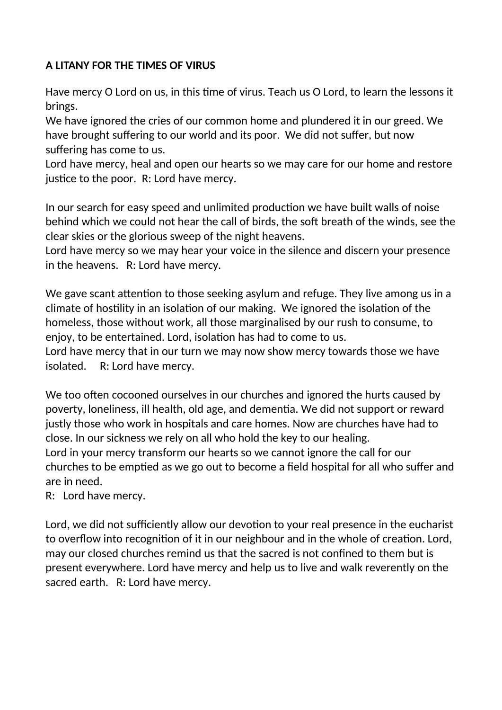## **A LITANY FOR THE TIMES OF VIRUS**

Have mercy O Lord on us, in this time of virus. Teach us O Lord, to learn the lessons it brings.

We have ignored the cries of our common home and plundered it in our greed. We have brought suffering to our world and its poor. We did not suffer, but now suffering has come to us.

Lord have mercy, heal and open our hearts so we may care for our home and restore justice to the poor. R: Lord have mercy.

In our search for easy speed and unlimited production we have built walls of noise behind which we could not hear the call of birds, the soft breath of the winds, see the clear skies or the glorious sweep of the night heavens.

Lord have mercy so we may hear your voice in the silence and discern your presence in the heavens. R: Lord have mercy.

We gave scant attention to those seeking asylum and refuge. They live among us in a climate of hostility in an isolation of our making. We ignored the isolation of the homeless, those without work, all those marginalised by our rush to consume, to enjoy, to be entertained. Lord, isolation has had to come to us.

Lord have mercy that in our turn we may now show mercy towards those we have isolated. R: Lord have mercy.

We too often cocooned ourselves in our churches and ignored the hurts caused by poverty, loneliness, ill health, old age, and dementia. We did not support or reward justly those who work in hospitals and care homes. Now are churches have had to close. In our sickness we rely on all who hold the key to our healing.

Lord in your mercy transform our hearts so we cannot ignore the call for our churches to be emptied as we go out to become a field hospital for all who suffer and are in need.

R: Lord have mercy.

Lord, we did not sufficiently allow our devotion to your real presence in the eucharist to overflow into recognition of it in our neighbour and in the whole of creation. Lord, may our closed churches remind us that the sacred is not confined to them but is present everywhere. Lord have mercy and help us to live and walk reverently on the sacred earth. R: Lord have mercy.